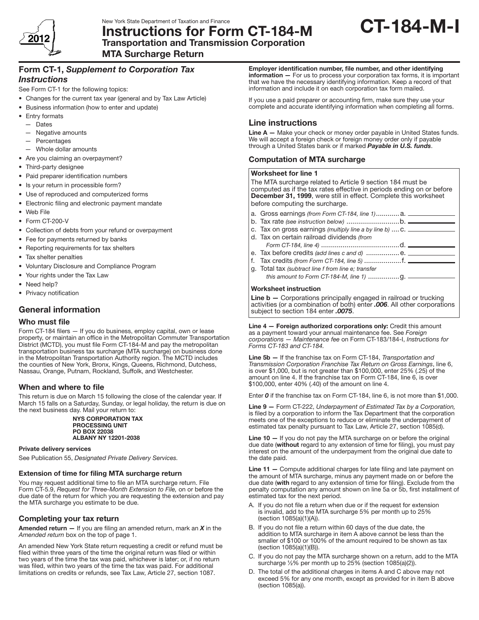

New York State Department of Taxation and Finance<br>Instructions for Form CT-184-M CT-184-M Transportation and Transmission Corporation

MTA Surcharge Return

## Form CT-1, *Supplement to Corporation Tax Instructions*

See Form CT-1 for the following topics:

- Changes for the current tax year (general and by Tax Law Article)
- • Business information (how to enter and update)
- Entry formats
- — Dates
- — Negative amounts
- — Percentages
- — Whole dollar amounts
- Are you claiming an overpayment?
- Third-party designee
- • Paid preparer identification numbers
- Is your return in processible form?
- • Use of reproduced and computerized forms
- • Electronic filing and electronic payment mandate
- • Web File
- • Form CT-200-V
- • Collection of debts from your refund or overpayment
- Fee for payments returned by banks
- Reporting requirements for tax shelters
- Tax shelter penalties
- • Voluntary Disclosure and Compliance Program
- Your rights under the Tax Law
- Need help?
- Privacy notification

# General information

## Who must file

Form CT-184 filers - If you do business, employ capital, own or lease property, or maintain an office in the Metropolitan Commuter Transportation District (MCTD), you must file Form CT‑184‑M and pay the metropolitan transportation business tax surcharge (MTA surcharge) on business done in the Metropolitan Transportation Authority region. The MCTD includes the counties of New York, Bronx, Kings, Queens, Richmond, Dutchess, Nassau, Orange, Putnam, Rockland, Suffolk, and Westchester.

## When and where to file

This return is due on March 15 following the close of the calendar year. If March 15 falls on a Saturday, Sunday, or legal holiday, the return is due on the next business day. Mail your return to:

#### NYS CORPORATION TAX PROCESSING UNIT PO BOX 22038 ALBANY NY 12201-2038

#### Private delivery services

See Publication 55, *Designated Private Delivery Services.*

## Extension of time for filing MTA surcharge return

You may request additional time to file an MTA surcharge return. File Form CT‑5.9, *Request for Three‑Month Extension to File,* on or before the due date of the return for which you are requesting the extension and pay the MTA surcharge you estimate to be due.

## Completing your tax return

Amended return — If you are filing an amended return, mark an *X* in the *Amended return* box on the top of page 1.

An amended New York State return requesting a credit or refund must be filed within three years of the time the original return was filed or within two years of the time the tax was paid, whichever is later; or, if no return was filed, within two years of the time the tax was paid. For additional limitations on credits or refunds, see Tax Law, Article 27, section 1087.

Employer identification number, file number, and other identifying information - For us to process your corporation tax forms, it is important that we have the necessary identifying information. Keep a record of that information and include it on each corporation tax form mailed.

If you use a paid preparer or accounting firm, make sure they use your complete and accurate identifying information when completing all forms.

## Line instructions

Line A - Make your check or money order payable in United States funds. We will accept a foreign check or foreign money order only if payable through a United States bank or if marked *Payable in U.S. funds*.

## Computation of MTA surcharge

#### Worksheet for line 1

| The MTA surcharge related to Article 9 section 184 must be<br>computed as if the tax rates effective in periods ending on or before<br>December 31, 1999, were still in effect. Complete this worksheet<br>before computing the surcharge. |                                                                  |  |
|--------------------------------------------------------------------------------------------------------------------------------------------------------------------------------------------------------------------------------------------|------------------------------------------------------------------|--|
|                                                                                                                                                                                                                                            | a. Gross earnings <i>(from Form CT-184, line 1)</i> a.           |  |
|                                                                                                                                                                                                                                            |                                                                  |  |
|                                                                                                                                                                                                                                            | c. Tax on gross earnings (multiply line a by line b) $C.$ ______ |  |
|                                                                                                                                                                                                                                            | d. Tax on certain railroad dividends (from                       |  |
|                                                                                                                                                                                                                                            |                                                                  |  |
|                                                                                                                                                                                                                                            | e Tax hefore credits <i>(add lines c and d</i> )                 |  |

- e. before credits *(add lines c and d)* ................. f. Tax credits *(from Form CT-184, line 5)* ...................f.
- g. Total tax *(subtract line f from line e; transfer* 
	- *this amount to Form CT-184-M, line 1)* ................g.

### Worksheet instruction

Line  $b -$  Corporations principally engaged in railroad or trucking activities (or a combination of both) enter *.006*. All other corporations subject to section 184 enter *.0075*.

Line 4 — Foreign authorized corporations only: Credit this amount as a payment toward your annual maintenance fee. See *Foreign corporations — Maintenance fee* on Form CT-183/184-I, *Instructions for Forms CT-183 and CT‑184.*

Line 5b — If the franchise tax on Form CT-184, *Transportation and Transmission Corporation Franchise Tax Return on Gross Earnings*, line 6, is over \$1,000, but is not greater than \$100,000, enter 25% (.25) of the amount on line 4. If the franchise tax on Form CT-184, line 6, is over \$100,000, enter 40% (.40) of the amount on line 4.

Enter *0* if the franchise tax on Form CT-184, line 6, is not more than \$1,000.

Line 9 — Form CT-222, *Underpayment of Estimated Tax by a Corporation,*  is filed by a corporation to inform the Tax Department that the corporation meets one of the exceptions to reduce or eliminate the underpayment of estimated tax penalty pursuant to Tax Law, Article 27, section 1085(d).

Line  $10 -$  If you do not pay the MTA surcharge on or before the original due date (without regard to any extension of time for filing), you must pay interest on the amount of the underpayment from the original due date to the date paid.

Line 11 – Compute additional charges for late filing and late payment on the amount of MTA surcharge, minus any payment made on or before the due date (with regard to any extension of time for filing). Exclude from the penalty computation any amount shown on line 5a or 5b, first installment of estimated tax for the next period.

- A. If you do not file a return when due or if the request for extension is invalid, add to the MTA surcharge 5% per month up to 25% (section 1085(a)(1)(A)).
- B. If you do not file a return within 60 days of the due date, the addition to MTA surcharge in item A above cannot be less than the smaller of \$100 or 100% of the amount required to be shown as tax (section 1085(a)(1)(B)).
- C. If you do not pay the MTA surcharge shown on a return, add to the MTA surcharge ½% per month up to 25% (section 1085(a)(2)).
- D. The total of the additional charges in items A and C above may not exceed 5% for any one month, except as provided for in item B above (section 1085(a)).